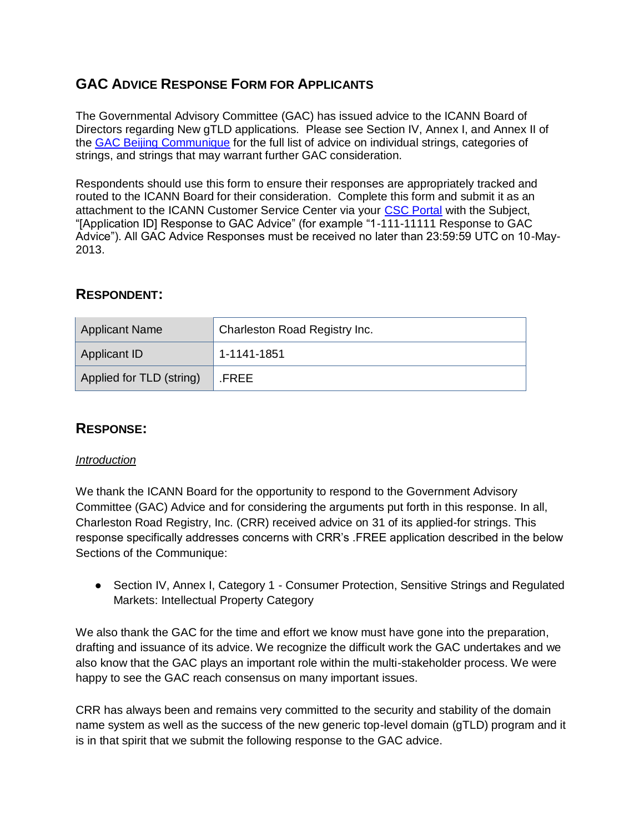# **GAC ADVICE RESPONSE FORM FOR APPLICANTS**

The Governmental Advisory Committee (GAC) has issued advice to the ICANN Board of Directors regarding New gTLD applications. Please see Section IV, Annex I, and Annex II of the [GAC Beijing Communique](http://www.icann.org/en/news/correspondence/gac-to-board-18apr13-en.pdf) for the full list of advice on individual strings, categories of strings, and strings that may warrant further GAC consideration.

Respondents should use this form to ensure their responses are appropriately tracked and routed to the ICANN Board for their consideration. Complete this form and submit it as an attachment to the ICANN Customer Service Center via your [CSC Portal](https://myicann.secure.force.com/) with the Subject, "[Application ID] Response to GAC Advice" (for example "1-111-11111 Response to GAC Advice"). All GAC Advice Responses must be received no later than 23:59:59 UTC on 10-May-2013.

## **RESPONDENT:**

| <b>Applicant Name</b>    | Charleston Road Registry Inc. |
|--------------------------|-------------------------------|
| <b>Applicant ID</b>      | 1-1141-1851                   |
| Applied for TLD (string) | .FREE                         |

## **RESPONSE:**

### *Introduction*

We thank the ICANN Board for the opportunity to respond to the Government Advisory Committee (GAC) Advice and for considering the arguments put forth in this response. In all, Charleston Road Registry, Inc. (CRR) received advice on 31 of its applied-for strings. This response specifically addresses concerns with CRR's .FREE application described in the below Sections of the Communique:

● Section IV, Annex I, Category 1 - Consumer Protection, Sensitive Strings and Regulated Markets: Intellectual Property Category

We also thank the GAC for the time and effort we know must have gone into the preparation, drafting and issuance of its advice. We recognize the difficult work the GAC undertakes and we also know that the GAC plays an important role within the multi-stakeholder process. We were happy to see the GAC reach consensus on many important issues.

CRR has always been and remains very committed to the security and stability of the domain name system as well as the success of the new generic top-level domain (gTLD) program and it is in that spirit that we submit the following response to the GAC advice.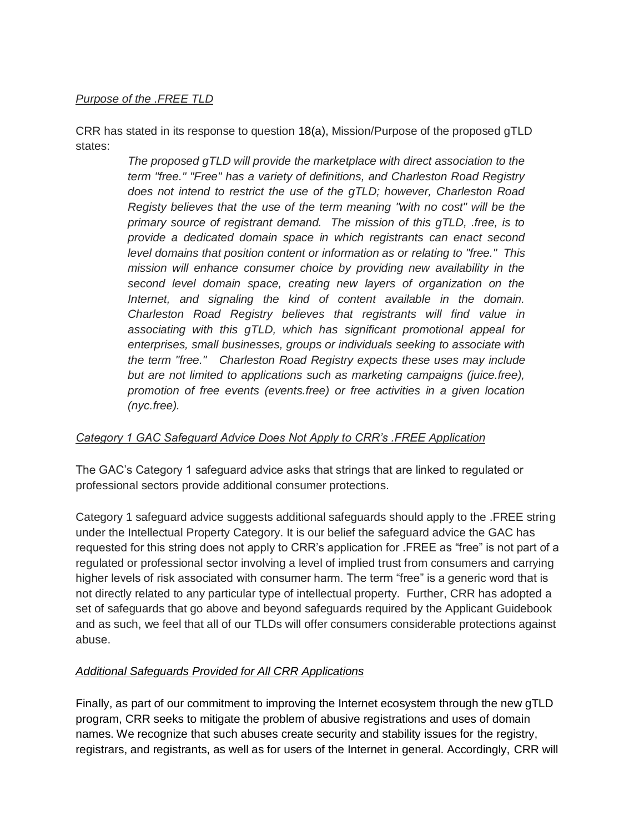### *Purpose of the .FREE TLD*

CRR has stated in its response to question 18(a), Mission/Purpose of the proposed gTLD states:

> *The proposed gTLD will provide the marketplace with direct association to the term "free." "Free" has a variety of definitions, and Charleston Road Registry does not intend to restrict the use of the gTLD; however, Charleston Road Registy believes that the use of the term meaning "with no cost" will be the primary source of registrant demand. The mission of this gTLD, .free, is to provide a dedicated domain space in which registrants can enact second level domains that position content or information as or relating to "free." This mission will enhance consumer choice by providing new availability in the second level domain space, creating new layers of organization on the Internet, and signaling the kind of content available in the domain. Charleston Road Registry believes that registrants will find value in associating with this gTLD, which has significant promotional appeal for enterprises, small businesses, groups or individuals seeking to associate with the term "free." Charleston Road Registry expects these uses may include but are not limited to applications such as marketing campaigns (juice.free), promotion of free events (events.free) or free activities in a given location (nyc.free).*

### *Category 1 GAC Safeguard Advice Does Not Apply to CRR's .FREE Application*

The GAC's Category 1 safeguard advice asks that strings that are linked to regulated or professional sectors provide additional consumer protections.

Category 1 safeguard advice suggests additional safeguards should apply to the .FREE string under the Intellectual Property Category. It is our belief the safeguard advice the GAC has requested for this string does not apply to CRR's application for .FREE as "free" is not part of a regulated or professional sector involving a level of implied trust from consumers and carrying higher levels of risk associated with consumer harm. The term "free" is a generic word that is not directly related to any particular type of intellectual property. Further, CRR has adopted a set of safeguards that go above and beyond safeguards required by the Applicant Guidebook and as such, we feel that all of our TLDs will offer consumers considerable protections against abuse.

## *Additional Safeguards Provided for All CRR Applications*

Finally, as part of our commitment to improving the Internet ecosystem through the new gTLD program, CRR seeks to mitigate the problem of abusive registrations and uses of domain names. We recognize that such abuses create security and stability issues for the registry, registrars, and registrants, as well as for users of the Internet in general. Accordingly, CRR will